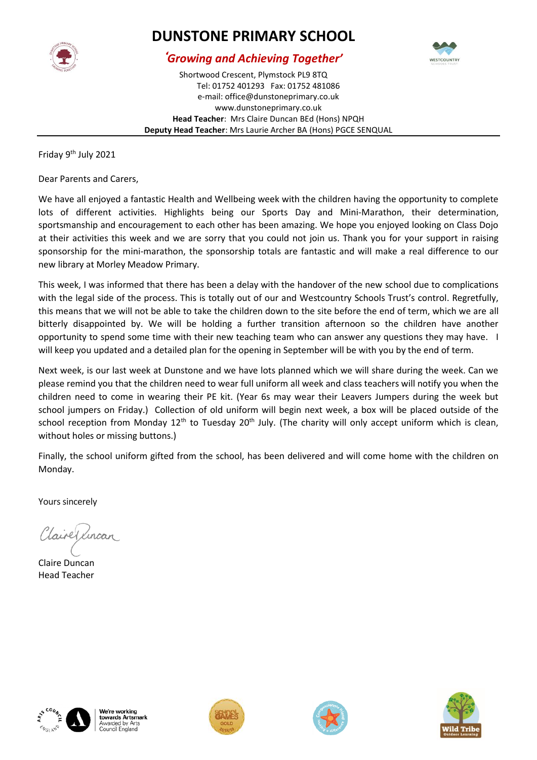

## **DUNSTONE PRIMARY SCHOOL**



## *Growing and Achieving Together'*

Shortwood Crescent, Plymstock PL9 8TQ Tel: 01752 401293 Fax: 01752 481086 e-mail: office@dunstoneprimary.co.uk www.dunstoneprimary.co.uk **Head Teacher**: Mrs Claire Duncan BEd (Hons) NPQH **Deputy Head Teacher**: Mrs Laurie Archer BA (Hons) PGCE SENQUAL

Friday 9th July 2021

Dear Parents and Carers,

We have all enjoyed a fantastic Health and Wellbeing week with the children having the opportunity to complete lots of different activities. Highlights being our Sports Day and Mini-Marathon, their determination, sportsmanship and encouragement to each other has been amazing. We hope you enjoyed looking on Class Dojo at their activities this week and we are sorry that you could not join us. Thank you for your support in raising sponsorship for the mini-marathon, the sponsorship totals are fantastic and will make a real difference to our new library at Morley Meadow Primary.

This week, I was informed that there has been a delay with the handover of the new school due to complications with the legal side of the process. This is totally out of our and Westcountry Schools Trust's control. Regretfully, this means that we will not be able to take the children down to the site before the end of term, which we are all bitterly disappointed by. We will be holding a further transition afternoon so the children have another opportunity to spend some time with their new teaching team who can answer any questions they may have. I will keep you updated and a detailed plan for the opening in September will be with you by the end of term.

Next week, is our last week at Dunstone and we have lots planned which we will share during the week. Can we please remind you that the children need to wear full uniform all week and class teachers will notify you when the children need to come in wearing their PE kit. (Year 6s may wear their Leavers Jumpers during the week but school jumpers on Friday.) Collection of old uniform will begin next week, a box will be placed outside of the school reception from Monday 12<sup>th</sup> to Tuesday 20<sup>th</sup> July. (The charity will only accept uniform which is clean, without holes or missing buttons.)

Finally, the school uniform gifted from the school, has been delivered and will come home with the children on Monday.

Yours sincerely

Claire Lincan

Claire Duncan Head Teacher